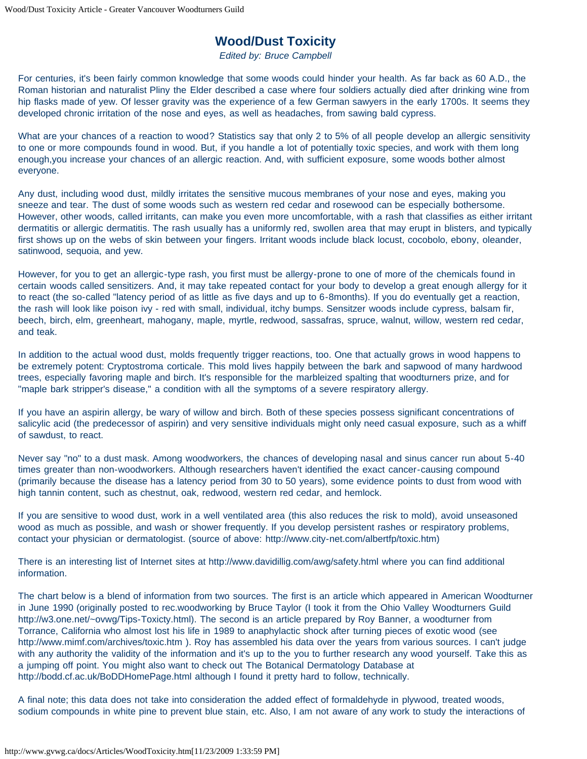## **Wood/Dust Toxicity**

*Edited by: Bruce Campbell*

For centuries, it's been fairly common knowledge that some woods could hinder your health. As far back as 60 A.D., the Roman historian and naturalist Pliny the Elder described a case where four soldiers actually died after drinking wine from hip flasks made of yew. Of lesser gravity was the experience of a few German sawyers in the early 1700s. It seems they developed chronic irritation of the nose and eyes, as well as headaches, from sawing bald cypress.

What are your chances of a reaction to wood? Statistics say that only 2 to 5% of all people develop an allergic sensitivity to one or more compounds found in wood. But, if you handle a lot of potentially toxic species, and work with them long enough,you increase your chances of an allergic reaction. And, with sufficient exposure, some woods bother almost everyone.

Any dust, including wood dust, mildly irritates the sensitive mucous membranes of your nose and eyes, making you sneeze and tear. The dust of some woods such as western red cedar and rosewood can be especially bothersome. However, other woods, called irritants, can make you even more uncomfortable, with a rash that classifies as either irritant dermatitis or allergic dermatitis. The rash usually has a uniformly red, swollen area that may erupt in blisters, and typically first shows up on the webs of skin between your fingers. Irritant woods include black locust, cocobolo, ebony, oleander, satinwood, sequoia, and yew.

However, for you to get an allergic-type rash, you first must be allergy-prone to one of more of the chemicals found in certain woods called sensitizers. And, it may take repeated contact for your body to develop a great enough allergy for it to react (the so-called "latency period of as little as five days and up to 6-8months). If you do eventually get a reaction, the rash will look like poison ivy - red with small, individual, itchy bumps. Sensitzer woods include cypress, balsam fir, beech, birch, elm, greenheart, mahogany, maple, myrtle, redwood, sassafras, spruce, walnut, willow, western red cedar, and teak.

In addition to the actual wood dust, molds frequently trigger reactions, too. One that actually grows in wood happens to be extremely potent: Cryptostroma corticale. This mold lives happily between the bark and sapwood of many hardwood trees, especially favoring maple and birch. It's responsible for the marbleized spalting that woodturners prize, and for "maple bark stripper's disease," a condition with all the symptoms of a severe respiratory allergy.

If you have an aspirin allergy, be wary of willow and birch. Both of these species possess significant concentrations of salicylic acid (the predecessor of aspirin) and very sensitive individuals might only need casual exposure, such as a whiff of sawdust, to react.

Never say "no" to a dust mask. Among woodworkers, the chances of developing nasal and sinus cancer run about 5-40 times greater than non-woodworkers. Although researchers haven't identified the exact cancer-causing compound (primarily because the disease has a latency period from 30 to 50 years), some evidence points to dust from wood with high tannin content, such as chestnut, oak, redwood, western red cedar, and hemlock.

If you are sensitive to wood dust, work in a well ventilated area (this also reduces the risk to mold), avoid unseasoned wood as much as possible, and wash or shower frequently. If you develop persistent rashes or respiratory problems, contact your physician or dermatologist. (source of above: http://www.city-net.com/albertfp/toxic.htm)

There is an interesting list of Internet sites at http://www.davidillig.com/awg/safety.html where you can find additional information.

The chart below is a blend of information from two sources. The first is an article which appeared in American Woodturner in June 1990 (originally posted to rec.woodworking by Bruce Taylor (I took it from the Ohio Valley Woodturners Guild http://w3.one.net/~ovwg/Tips-Toxicty.html). The second is an article prepared by Roy Banner, a woodturner from Torrance, California who almost lost his life in 1989 to anaphylactic shock after turning pieces of exotic wood (see http://www.mimf.com/archives/toxic.htm ). Roy has assembled his data over the years from various sources. I can't judge with any authority the validity of the information and it's up to the you to further research any wood yourself. Take this as a jumping off point. You might also want to check out The Botanical Dermatology Database at http://bodd.cf.ac.uk/BoDDHomePage.html although I found it pretty hard to follow, technically.

A final note; this data does not take into consideration the added effect of formaldehyde in plywood, treated woods, sodium compounds in white pine to prevent blue stain, etc. Also, I am not aware of any work to study the interactions of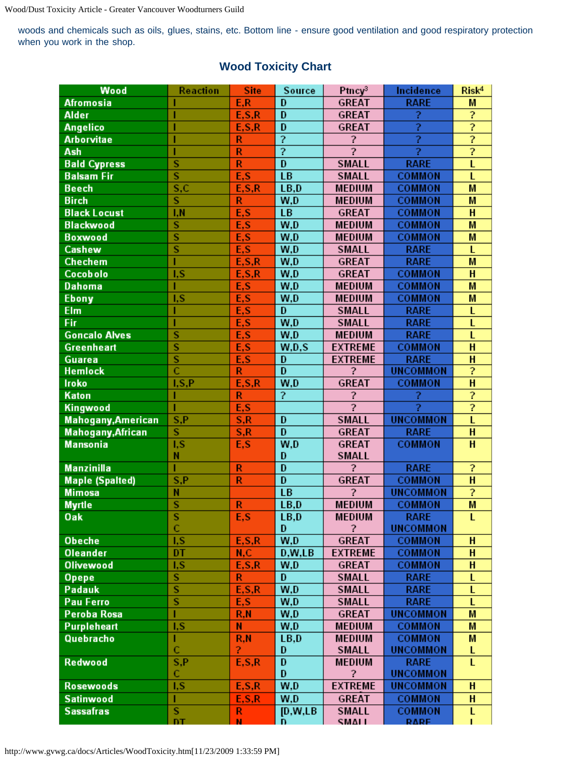woods and chemicals such as oils, glues, stains, etc. Bottom line - ensure good ventilation and good respiratory protection when you work in the shop.

| Wood                      | Reaction                         | <b>Site</b>             | Source                  | Ptncy <sup>3</sup>       | Incidence       | Risk <sup>4</sup> |
|---------------------------|----------------------------------|-------------------------|-------------------------|--------------------------|-----------------|-------------------|
| <b>Afromosia</b>          |                                  | E, R                    | D                       | <b>GREAT</b>             | <b>RARE</b>     | M                 |
| <b>Alder</b>              |                                  | E.S.R                   | D                       | <b>GREAT</b>             | Ž               | 2                 |
| <b>Angelico</b>           |                                  | E.S.R                   | $\overline{D}$          | <b>GREAT</b>             | 2               | $\overline{?}$    |
| <b>Arborvitae</b>         |                                  | R                       | $\overline{?}$          | ?                        | ż               | 7                 |
| Ash                       |                                  | R                       | $\overline{?}$          | $\overline{?}$           | 2               | $\overline{?}$    |
| <b>Bald Cypress</b>       | $\overline{\mathbf{s}}$          | $\overline{\mathsf{R}}$ | $\overline{\mathbf{D}}$ | <b>SMALL</b>             | <b>RARE</b>     | L                 |
| <b>Balsam Fir</b>         | $\overline{s}$                   | E,S                     | LB                      | <b>SMALL</b>             | <b>COMMON</b>   | Ĺ                 |
| <b>Beech</b>              | S, C                             | E, S, R                 | LB,D                    | <b>MEDIUM</b>            | <b>COMMON</b>   | M                 |
| <b>Birch</b>              | $\overline{\mathbf{s}}$          | R                       | W,D                     | <b>MEDIUM</b>            | <b>COMMON</b>   | M                 |
| <b>Black Locust</b>       | I, N                             | E, S                    | LB                      | <b>GREAT</b>             | <b>COMMON</b>   | H                 |
| <b>Blackwood</b>          | Ś                                | E,S                     | W, D                    | <b>MEDIUM</b>            | <b>COMMON</b>   | M                 |
| <b>Boxwood</b>            | $\overline{s}$                   | E,S                     | W,D                     | <b>MEDIUM</b>            | <b>COMMON</b>   | M                 |
| Cashew                    | $\overline{s}$                   | E,S                     | W, D                    | <b>SMALL</b>             | <b>RARE</b>     | L                 |
| <b>Chechem</b>            |                                  | E.S.R                   | W, D                    | <b>GREAT</b>             | <b>RARE</b>     | M                 |
| <b>Cocobolo</b>           | I,S                              | E.S.R                   | W, D                    | <b>GREAT</b>             | <b>COMMON</b>   | H                 |
| <b>Dahoma</b>             |                                  | E,S                     | W, D                    | <b>MEDIUM</b>            | <b>COMMON</b>   | M                 |
| <b>Ebony</b>              | I.S                              | E, S                    | W,D                     | <b>MEDIUM</b>            | <b>COMMON</b>   | M                 |
| Elm                       |                                  | E,S                     | D                       | <b>SMALL</b>             | <b>RARE</b>     | L                 |
| Fir                       |                                  | E,S                     | W, D                    | <b>SMALL</b>             | <b>RARE</b>     | L                 |
| <b>Goncalo Alves</b>      | S                                | E,S                     | W,D                     | <b>MEDIUM</b>            | <b>RARE</b>     | L                 |
| Greenheart                | $\overline{s}$                   | E,S                     | W.D.S                   | <b>EXTREME</b>           | <b>COMMON</b>   | $\overline{H}$    |
| Guarea                    | $\overline{\mathbf{s}}$          | E,S                     | D                       | <b>EXTREME</b>           | <b>RARE</b>     | H                 |
| <b>Hemlock</b>            | $\overline{\overline{\text{c}}}$ | R                       | D                       | 2                        | <b>UNCOMMON</b> | ?                 |
| Iroko                     | I, S, P                          | E, S, R                 | W, D                    | <b>GREAT</b>             | <b>COMMON</b>   | $\overline{H}$    |
| Katon                     |                                  | R                       | ?                       | $\overline{\phantom{a}}$ | ?               | 7                 |
| Kingwood                  |                                  | E,S                     |                         | $\overline{2}$           | ż               | $\overline{?}$    |
| <b>Mahogany, American</b> | S, P                             | S, R                    | D                       | <b>SMALL</b>             | <b>UNCOMMON</b> | Ĺ                 |
| <b>Mahogany, African</b>  | Ŝ                                | S, R                    | D                       | <b>GREAT</b>             | <b>RARE</b>     | $\overline{H}$    |
| <b>Mansonia</b>           | I, S                             | E,S                     | W, D                    | <b>GREAT</b>             | <b>COMMON</b>   | H                 |
|                           | N                                |                         | D                       | <b>SMALL</b>             |                 |                   |
| <b>Manzinilla</b>         |                                  | R                       | D                       | <sup>2</sup>             | <b>RARE</b>     | s.                |
| <b>Maple (Spalted)</b>    | S, P                             | R                       | D                       | <b>GREAT</b>             | <b>COMMON</b>   | $\overline{H}$    |
| <b>Mimosa</b>             | N                                |                         | LB                      | 2                        | <b>UNCOMMON</b> | ?                 |
| <b>Myrtle</b>             | $\overline{\mathbf{s}}$          | R                       | LB,D                    | <b>MEDIUM</b>            | <b>COMMON</b>   | M                 |
| Oak                       | s                                | E,S                     | LB, D                   | <b>MEDIUM</b>            | <b>RARE</b>     | L                 |
|                           | Ċ                                |                         | D                       | <sup>2</sup>             | <b>UNCOMMON</b> |                   |
| <b>Obeche</b>             | I, S                             | E, S, R                 | W, D                    | <b>GREAT</b>             | <b>COMMON</b>   | H                 |
| <b>Oleander</b>           | DT                               | N, C                    | D.W.LB                  | <b>EXTREME</b>           | <b>COMMON</b>   | H                 |
| <b>Olivewood</b>          | I,S                              | E, S, R                 | W, D                    | GREAT                    | <b>COMMON</b>   | H                 |
| Opepe                     | $\overline{\mathbf{s}}$          | R                       | D                       | <b>SMALL</b>             | <b>RARE</b>     | L                 |
| Padauk                    | $\overline{s}$                   | E.S.R                   | W, D                    | <b>SMALL</b>             | <b>RARE</b>     | L                 |
| <b>Pau Ferro</b>          | $\overline{s}$                   | E,S                     | W, D                    | <b>SMALL</b>             | <b>RARE</b>     | L                 |
| Peroba Rosa               |                                  | R, N                    | W, D                    | GREAT                    | <b>UNCOMMON</b> | M                 |
| Purpleheart               | I, S                             | N                       | W, D                    | <b>MEDIUM</b>            | <b>COMMON</b>   | M                 |
| Quebracho                 |                                  | R, N                    | LB, D                   | <b>MEDIUM</b>            | <b>COMMON</b>   | M                 |
|                           | $\mathbf C$                      | 2                       | D                       | <b>SMALL</b>             | <b>UNCOMMON</b> | L                 |
| Redwood                   | S.P                              | E.S.R                   | D                       | <b>MEDIUM</b>            | <b>RARE</b>     | Ĺ                 |
|                           | C                                |                         | D                       | 2                        | <b>UNCOMMON</b> |                   |
| <b>Rosewoods</b>          | I, S                             | E, S, R                 | W, D                    | <b>EXTREME</b>           | <b>UNCOMMON</b> | H                 |
| <b>Satinwood</b>          | п                                | E.S.R                   | W, D                    | GREAT                    | <b>COMMON</b>   | H                 |
| <b>Sassafras</b>          | $\overline{\mathbf{s}}$          | R                       | [D,W,LB]                | <b>SMALL</b>             | <b>COMMON</b>   | L                 |
|                           | DT.                              | N.                      | n                       | <b>SMALL</b>             | <b>RARE</b>     |                   |

## **Wood Toxicity Chart**